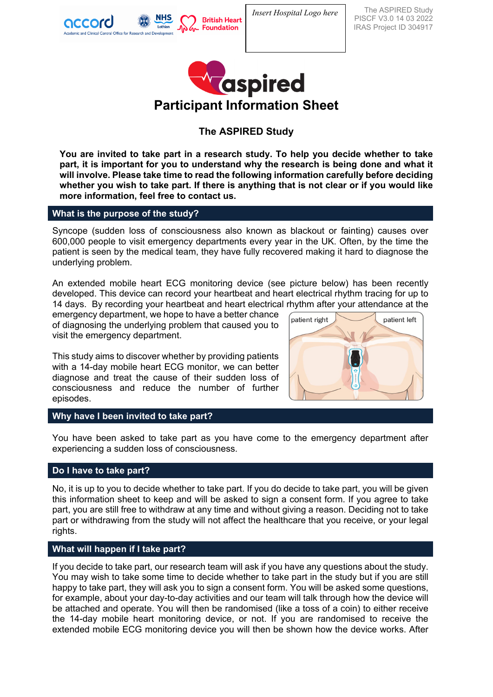

The ASPIRED Study PISCF V3.0 14 03 2022 IRAS Project ID 304917



# **The ASPIRED Study**

**You are invited to take part in a research study. To help you decide whether to take part, it is important for you to understand why the research is being done and what it will involve. Please take time to read the following information carefully before deciding whether you wish to take part. If there is anything that is not clear or if you would like more information, feel free to contact us.** 

## **What is the purpose of the study?**

Syncope (sudden loss of consciousness also known as blackout or fainting) causes over 600,000 people to visit emergency departments every year in the UK. Often, by the time the patient is seen by the medical team, they have fully recovered making it hard to diagnose the underlying problem.

An extended mobile heart ECG monitoring device (see picture below) has been recently developed. This device can record your heartbeat and heart electrical rhythm tracing for up to 14 days. By recording your heartbeat and heart electrical rhythm after your attendance at the

emergency department, we hope to have a better chance of diagnosing the underlying problem that caused you to visit the emergency department.

This study aims to discover whether by providing patients with a 14-day mobile heart ECG monitor, we can better diagnose and treat the cause of their sudden loss of consciousness and reduce the number of further episodes.



#### **Why have I been invited to take part?**

You have been asked to take part as you have come to the emergency department after experiencing a sudden loss of consciousness.

#### **Do I have to take part?**

No, it is up to you to decide whether to take part. If you do decide to take part, you will be given this information sheet to keep and will be asked to sign a consent form. If you agree to take part, you are still free to withdraw at any time and without giving a reason. Deciding not to take part or withdrawing from the study will not affect the healthcare that you receive, or your legal rights.

## **What will happen if I take part?**

If you decide to take part, our research team will ask if you have any questions about the study. You may wish to take some time to decide whether to take part in the study but if you are still happy to take part, they will ask you to sign a consent form. You will be asked some questions, for example, about your day-to-day activities and our team will talk through how the device will be attached and operate. You will then be randomised (like a toss of a coin) to either receive the 14-day mobile heart monitoring device, or not. If you are randomised to receive the extended mobile ECG monitoring device you will then be shown how the device works. After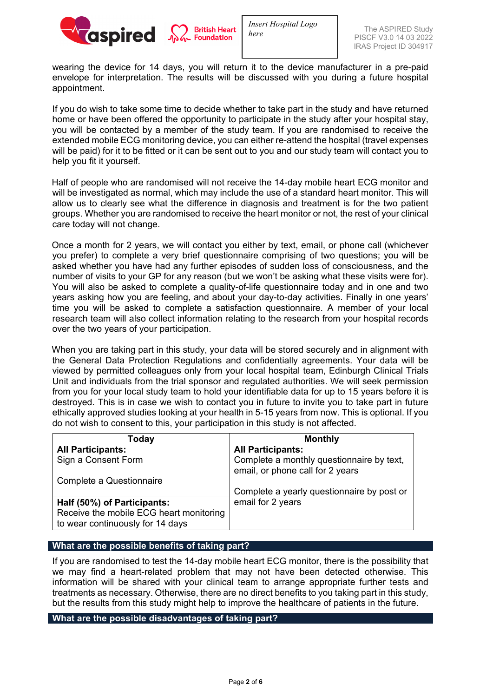

wearing the device for 14 days, you will return it to the device manufacturer in a pre-paid envelope for interpretation. The results will be discussed with you during a future hospital appointment.

If you do wish to take some time to decide whether to take part in the study and have returned home or have been offered the opportunity to participate in the study after your hospital stay, you will be contacted by a member of the study team. If you are randomised to receive the extended mobile ECG monitoring device, you can either re-attend the hospital (travel expenses will be paid) for it to be fitted or it can be sent out to you and our study team will contact you to help you fit it yourself.

Half of people who are randomised will not receive the 14-day mobile heart ECG monitor and will be investigated as normal, which may include the use of a standard heart monitor. This will allow us to clearly see what the difference in diagnosis and treatment is for the two patient groups. Whether you are randomised to receive the heart monitor or not, the rest of your clinical care today will not change.

Once a month for 2 years, we will contact you either by text, email, or phone call (whichever you prefer) to complete a very brief questionnaire comprising of two questions; you will be asked whether you have had any further episodes of sudden loss of consciousness, and the number of visits to your GP for any reason (but we won't be asking what these visits were for). You will also be asked to complete a quality-of-life questionnaire today and in one and two years asking how you are feeling, and about your day-to-day activities. Finally in one years' time you will be asked to complete a satisfaction questionnaire. A member of your local research team will also collect information relating to the research from your hospital records over the two years of your participation.

When you are taking part in this study, your data will be stored securely and in alignment with the General Data Protection Regulations and confidentially agreements. Your data will be viewed by permitted colleagues only from your local hospital team, Edinburgh Clinical Trials Unit and individuals from the trial sponsor and regulated authorities. We will seek permission from you for your local study team to hold your identifiable data for up to 15 years before it is destroyed. This is in case we wish to contact you in future to invite you to take part in future ethically approved studies looking at your health in 5-15 years from now. This is optional. If you do not wish to consent to this, your participation in this study is not affected.

| Today                                   | <b>Monthly</b>                                                                |
|-----------------------------------------|-------------------------------------------------------------------------------|
| <b>All Participants:</b>                | <b>All Participants:</b>                                                      |
| Sign a Consent Form                     | Complete a monthly questionnaire by text,<br>email, or phone call for 2 years |
| Complete a Questionnaire                |                                                                               |
|                                         | Complete a yearly questionnaire by post or                                    |
| Half (50%) of Participants:             | email for 2 years                                                             |
| Receive the mobile ECG heart monitoring |                                                                               |
| to wear continuously for 14 days        |                                                                               |

#### **What are the possible benefits of taking part?**

If you are randomised to test the 14-day mobile heart ECG monitor, there is the possibility that we may find a heart-related problem that may not have been detected otherwise. This information will be shared with your clinical team to arrange appropriate further tests and treatments as necessary. Otherwise, there are no direct benefits to you taking part in this study, but the results from this study might help to improve the healthcare of patients in the future.

#### **What are the possible disadvantages of taking part?**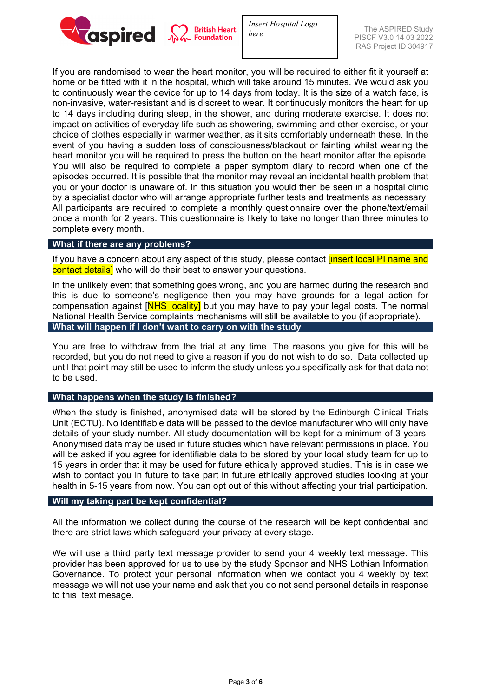

If you are randomised to wear the heart monitor, you will be required to either fit it yourself at home or be fitted with it in the hospital, which will take around 15 minutes. We would ask you to continuously wear the device for up to 14 days from today. It is the size of a watch face, is non-invasive, water-resistant and is discreet to wear. It continuously monitors the heart for up to 14 days including during sleep, in the shower, and during moderate exercise. It does not impact on activities of everyday life such as showering, swimming and other exercise, or your choice of clothes especially in warmer weather, as it sits comfortably underneath these. In the event of you having a sudden loss of consciousness/blackout or fainting whilst wearing the heart monitor you will be required to press the button on the heart monitor after the episode. You will also be required to complete a paper symptom diary to record when one of the episodes occurred. It is possible that the monitor may reveal an incidental health problem that you or your doctor is unaware of. In this situation you would then be seen in a hospital clinic by a specialist doctor who will arrange appropriate further tests and treatments as necessary. All participants are required to complete a monthly questionnaire over the phone/text/email once a month for 2 years. This questionnaire is likely to take no longer than three minutes to complete every month.

#### **What if there are any problems?**

If you have a concern about any aspect of this study, please contact **[insert local PI name and** contact details] who will do their best to answer your questions.

In the unlikely event that something goes wrong, and you are harmed during the research and this is due to someone's negligence then you may have grounds for a legal action for compensation against [NHS locality] but you may have to pay your legal costs. The normal National Health Service complaints mechanisms will still be available to you (if appropriate). **What will happen if I don't want to carry on with the study**

You are free to withdraw from the trial at any time. The reasons you give for this will be recorded, but you do not need to give a reason if you do not wish to do so. Data collected up until that point may still be used to inform the study unless you specifically ask for that data not to be used.

#### **What happens when the study is finished?**

When the study is finished, anonymised data will be stored by the Edinburgh Clinical Trials Unit (ECTU). No identifiable data will be passed to the device manufacturer who will only have details of your study number. All study documentation will be kept for a minimum of 3 years. Anonymised data may be used in future studies which have relevant permissions in place. You will be asked if you agree for identifiable data to be stored by your local study team for up to 15 years in order that it may be used for future ethically approved studies. This is in case we wish to contact you in future to take part in future ethically approved studies looking at your health in 5-15 years from now. You can opt out of this without affecting your trial participation.

#### **Will my taking part be kept confidential?**

All the information we collect during the course of the research will be kept confidential and there are strict laws which safeguard your privacy at every stage.

We will use a third party text message provider to send your 4 weekly text message. This provider has been approved for us to use by the study Sponsor and NHS Lothian Information Governance. To protect your personal information when we contact you 4 weekly by text message we will not use your name and ask that you do not send personal details in response to this text mesage.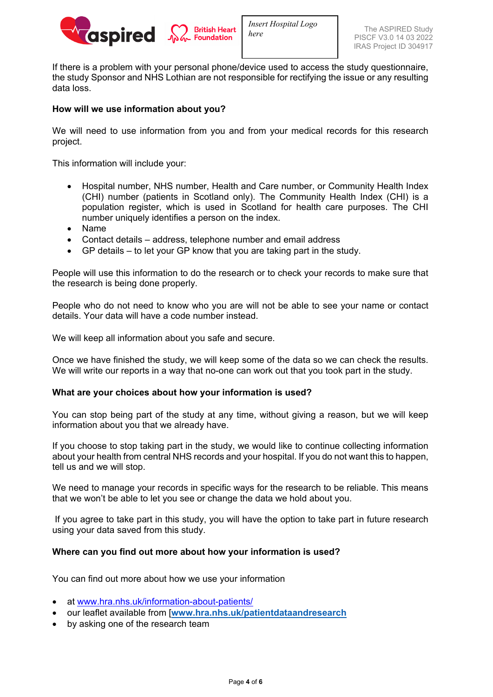

If there is a problem with your personal phone/device used to access the study questionnaire, the study Sponsor and NHS Lothian are not responsible for rectifying the issue or any resulting data loss.

# **How will we use information about you?**

We will need to use information from you and from your medical records for this research project.

This information will include your:

- Hospital number, NHS number, Health and Care number, or Community Health Index (CHI) number (patients in Scotland only). The Community Health Index (CHI) is a population register, which is used in Scotland for health care purposes. The CHI number uniquely identifies a person on the index.
- Name
- Contact details address, telephone number and email address
- GP details to let your GP know that you are taking part in the study.

People will use this information to do the research or to check your records to make sure that the research is being done properly.

People who do not need to know who you are will not be able to see your name or contact details. Your data will have a code number instead.

We will keep all information about you safe and secure.

Once we have finished the study, we will keep some of the data so we can check the results. We will write our reports in a way that no-one can work out that you took part in the study.

#### **What are your choices about how your information is used?**

You can stop being part of the study at any time, without giving a reason, but we will keep information about you that we already have.

If you choose to stop taking part in the study, we would like to continue collecting information about your health from central NHS records and your hospital. If you do not want this to happen, tell us and we will stop.

We need to manage your records in specific ways for the research to be reliable. This means that we won't be able to let you see or change the data we hold about you.

If you agree to take part in this study, you will have the option to take part in future research using your data saved from this study.

#### **Where can you find out more about how your information is used?**

You can find out more about how we use your information

- at [www.hra.nhs.uk/information-about-patients/](https://www.hra.nhs.uk/information-about-patients/)
- our leaflet available from [**[www.hra.nhs.uk/patientdataandresearch](http://www.hra.nhs.uk/patientdataandresearch)**
- by asking one of the research team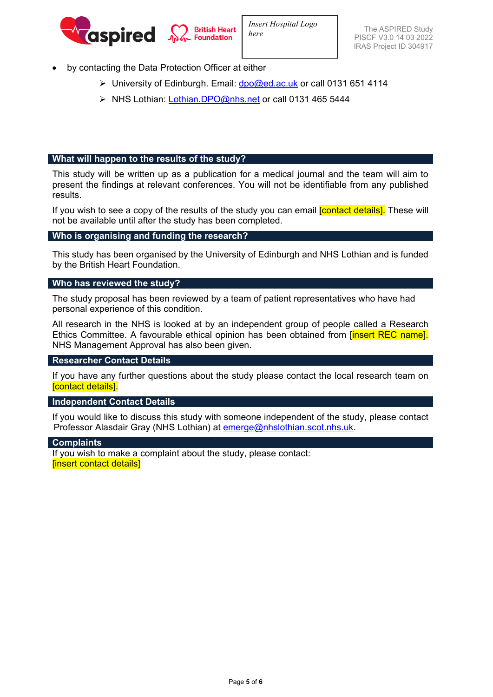

- by contacting the Data Protection Officer at either
	- $\triangleright$  University of Edinburgh. Email: [dpo@ed.ac.uk](mailto:dpo@ed.ac.uk) or call 0131 651 4114
	- ▶ NHS Lothian: [Lothian.DPO@nhs.net](mailto:Lothian.DPO@nhs.net) or call 0131 465 5444

## **What will happen to the results of the study?**

This study will be written up as a publication for a medical journal and the team will aim to present the findings at relevant conferences. You will not be identifiable from any published results.

If you wish to see a copy of the results of the study you can email **[contact details]**. These will not be available until after the study has been completed.

## **Who is organising and funding the research?**

This study has been organised by the University of Edinburgh and NHS Lothian and is funded by the British Heart Foundation.

#### **Who has reviewed the study?**

The study proposal has been reviewed by a team of patient representatives who have had personal experience of this condition.

All research in the NHS is looked at by an independent group of people called a Research Ethics Committee. A favourable ethical opinion has been obtained from [*insert REC name]*. NHS Management Approval has also been given.

#### **Researcher Contact Details**

If you have any further questions about the study please contact the local research team on [contact details].

#### **Independent Contact Details**

If you would like to discuss this study with someone independent of the study, please contact Professor Alasdair Gray (NHS Lothian) at **emerge@nhslothian.scot.nhs.uk.** 

#### **Complaints**

If you wish to make a complaint about the study, please contact: [insert contact details]